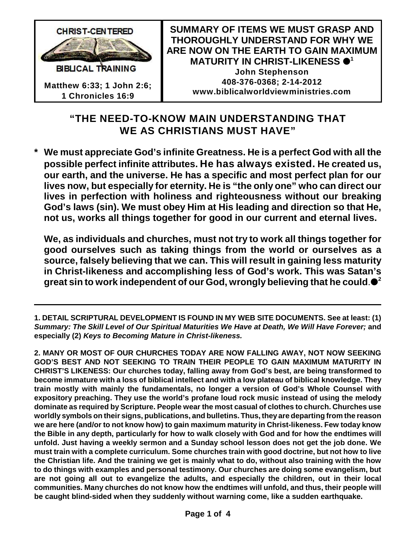

## **"THE NEED-TO-KNOW MAIN UNDERSTANDING THAT WE AS CHRISTIANS MUST HAVE"**

**\* We must appreciate God's infinite Greatness. He is a perfect God with all the possible perfect infinite attributes. He has always existed. He created us, our earth, and the universe. He has a specific and most perfect plan for our lives now, but especially for eternity. He is "the only one" who can direct our lives in perfection with holiness and righteousness without our breaking God's laws (sin). We must obey Him at His leading and direction so that He, not us, works all things together for good in our current and eternal lives.** 

**We, as individuals and churches, must not try to work all things together for good ourselves such as taking things from the world or ourselves as a source, falsely believing that we can. This will result in gaining less maturity in Christ-likeness and accomplishing less of God's work. This was Satan's great sin to work independent of our God, wrongly believing that he could**. **2**

**1. DETAIL SCRIPTURAL DEVELOPMENT IS FOUND IN MY WEB SITE DOCUMENTS. See at least: (1)** *Summary: The Skill Level of Our Spiritual Maturities We Have at Death, We Will Have Forever;* **and especially (2)** *Keys to Becoming Mature in Christ-likeness.*

**2. MANY OR MOST OF OUR CHURCHES TODAY ARE NOW FALLING AWAY, NOT NOW SEEKING GOD'S BEST AND NOT SEEKING TO TRAIN THEIR PEOPLE TO GAIN MAXIMUM MATURITY IN CHRIST'S LIKENESS: Our churches today, falling away from God's best, are being transformed to become immature with a loss of biblical intellect and with a low plateau of biblical knowledge. They train mostly with mainly the fundamentals, no longer a version of God's Whole Counsel with expository preaching. They use the world's profane loud rock music instead of using the melody dominate as required by Scripture. People wear the most casual of clothes to church. Churches use worldly symbols on their signs, publications, and bulletins. Thus, they are departing from the reason we are here (and/or to not know how) to gain maximum maturity in Christ-likeness. Few today know the Bible in any depth, particularly for how to walk closely with God and for how the endtimes will unfold. Just having a weekly sermon and a Sunday school lesson does not get the job done. We must train with a complete curriculum. Some churches train with good doctrine, but not how to live the Christian life. And the training we get is mainly what to do, without also training with the how to do things with examples and personal testimony. Our churches are doing some evangelism, but are not going all out to evangelize the adults, and especially the children, out in their local communities. Many churches do not know how the endtimes will unfold, and thus, their people will be caught blind-sided when they suddenly without warning come, like a sudden earthquake.**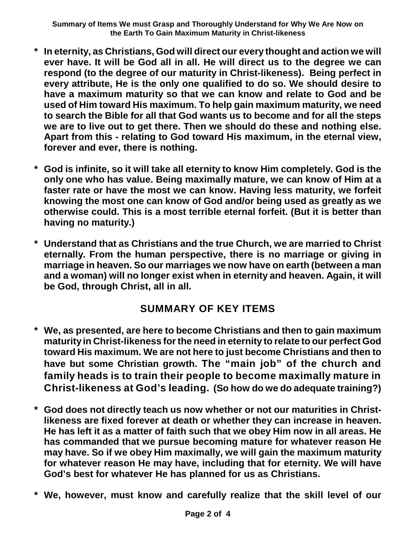- **\* In eternity, as Christians, God will direct our every thought and action we will ever have. It will be God all in all. He will direct us to the degree we can respond (to the degree of our maturity in Christ-likeness). Being perfect in every attribute, He is the only one qualified to do so. We should desire to have a maximum maturity so that we can know and relate to God and be used of Him toward His maximum. To help gain maximum maturity, we need to search the Bible for all that God wants us to become and for all the steps we are to live out to get there. Then we should do these and nothing else. Apart from this - relating to God toward His maximum, in the eternal view, forever and ever, there is nothing.**
- **\* God is infinite, so it will take all eternity to know Him completely. God is the only one who has value. Being maximally mature, we can know of Him at a faster rate or have the most we can know. Having less maturity, we forfeit knowing the most one can know of God and/or being used as greatly as we otherwise could. This is a most terrible eternal forfeit. (But it is better than having no maturity.)**
- **\* Understand that as Christians and the true Church, we are married to Christ eternally. From the human perspective, there is no marriage or giving in marriage in heaven. So our marriages we now have on earth (between a man and a woman) will no longer exist when in eternity and heaven. Again, it will be God, through Christ, all in all.**

## **SUMMARY OF KEY ITEMS**

- **\* We, as presented, are here to become Christians and then to gain maximum maturity in Christ-likeness for the need in eternity to relate to our perfect God toward His maximum. We are not here to just become Christians and then to have but some Christian growth. The "main job" of the church and family heads is to train their people to become maximally mature in Christ-likeness at God's leading. (So how do we do adequate training?)**
- **\* God does not directly teach us now whether or not our maturities in Christlikeness are fixed forever at death or whether they can increase in heaven. He has left it as a matter of faith such that we obey Him now in all areas. He has commanded that we pursue becoming mature for whatever reason He may have. So if we obey Him maximally, we will gain the maximum maturity for whatever reason He may have, including that for eternity. We will have God's best for whatever He has planned for us as Christians.**
- **\* We, however, must know and carefully realize that the skill level of our**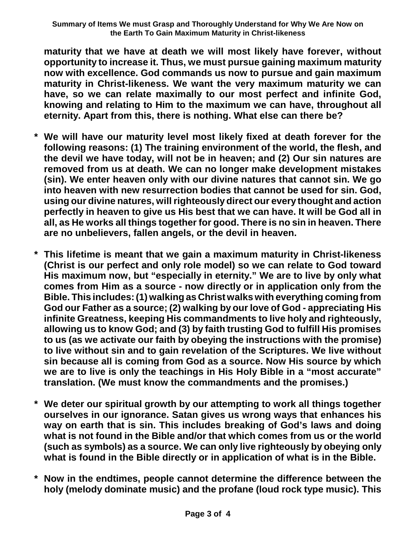**maturity that we have at death we will most likely have forever, without opportunity to increase it. Thus, we must pursue gaining maximum maturity now with excellence. God commands us now to pursue and gain maximum maturity in Christ-likeness. We want the very maximum maturity we can have, so we can relate maximally to our most perfect and infinite God, knowing and relating to Him to the maximum we can have, throughout all eternity. Apart from this, there is nothing. What else can there be?**

- **\* We will have our maturity level most likely fixed at death forever for the following reasons: (1) The training environment of the world, the flesh, and the devil we have today, will not be in heaven; and (2) Our sin natures are removed from us at death. We can no longer make development mistakes (sin). We enter heaven only with our divine natures that cannot sin. We go into heaven with new resurrection bodies that cannot be used for sin. God, using our divine natures, will righteously direct our every thought and action perfectly in heaven to give us His best that we can have. It will be God all in all, as He works all things together for good. There is no sin in heaven. There are no unbelievers, fallen angels, or the devil in heaven.**
- **\* This lifetime is meant that we gain a maximum maturity in Christ-likeness (Christ is our perfect and only role model) so we can relate to God toward His maximum now, but "especially in eternity." We are to live by only what comes from Him as a source - now directly or in application only from the Bible. This includes: (1) walking as Christ walks with everything coming from God our Father as a source; (2) walking by our love of God - appreciating His infinite Greatness, keeping His commandments to live holy and righteously, allowing us to know God; and (3) by faith trusting God to fulfill His promises to us (as we activate our faith by obeying the instructions with the promise) to live without sin and to gain revelation of the Scriptures. We live without sin because all is coming from God as a source. Now His source by which we are to live is only the teachings in His Holy Bible in a "most accurate" translation. (We must know the commandments and the promises.)**
- **\* We deter our spiritual growth by our attempting to work all things together ourselves in our ignorance. Satan gives us wrong ways that enhances his way on earth that is sin. This includes breaking of God's laws and doing what is not found in the Bible and/or that which comes from us or the world (such as symbols) as a source. We can only live righteously by obeying only what is found in the Bible directly or in application of what is in the Bible.**
- **\* Now in the endtimes, people cannot determine the difference between the holy (melody dominate music) and the profane (loud rock type music). This**